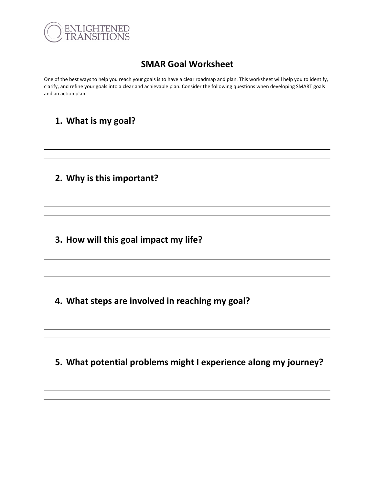

### SMAR Goal Worksheet

One of the best ways to help you reach your goals is to have a clear roadmap and plan. This worksheet will help you to identify, clarify, and refine your goals into a clear and achievable plan. Consider the following questions when developing SMART goals and an action plan.

### 1. What is my goal?

2. Why is this important?

3. How will this goal impact my life?

4. What steps are involved in reaching my goal?

5. What potential problems might I experience along my journey?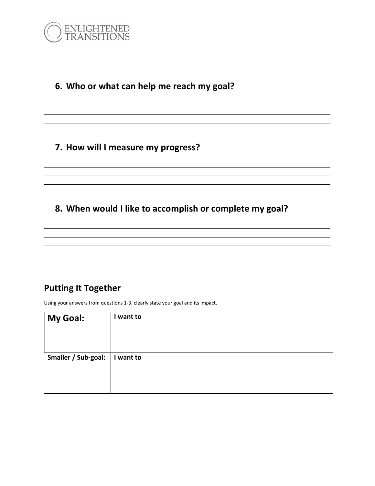

# 6. Who or what can help me reach my goal?

#### 7. How will I measure my progress?

# 8. When would I like to accomplish or complete my goal?

## Putting It Together

Using your answers from questions 1-3, clearly state your goal and its impact.

| My Goal:            | I want to |
|---------------------|-----------|
| Smaller / Sub-goal: | I want to |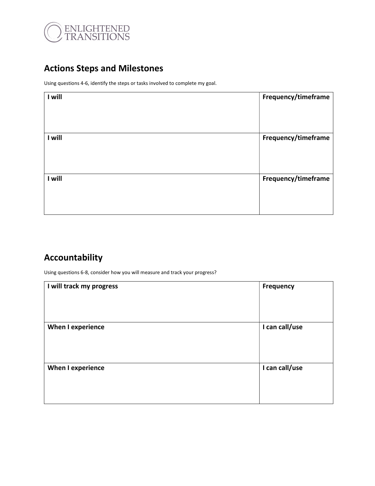

# Actions Steps and Milestones

Using questions 4-6, identify the steps or tasks involved to complete my goal.

| I will | Frequency/timeframe |
|--------|---------------------|
| I will | Frequency/timeframe |
| I will | Frequency/timeframe |

# Accountability

Using questions 6-8, consider how you will measure and track your progress?

| I will track my progress | <b>Frequency</b> |
|--------------------------|------------------|
| <b>When I experience</b> | I can call/use   |
| <b>When I experience</b> | I can call/use   |